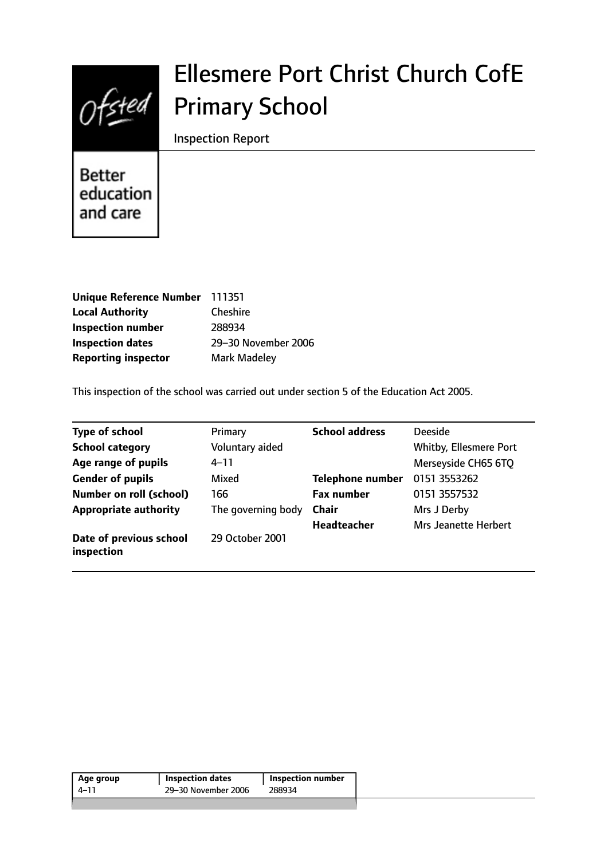

# Ellesmere Port Christ Church CofE Primary School

Inspection Report

**Better** education and care

| Unique Reference Number 111351 |                     |
|--------------------------------|---------------------|
| <b>Local Authority</b>         | <b>Cheshire</b>     |
| <b>Inspection number</b>       | 288934              |
| <b>Inspection dates</b>        | 29-30 November 2006 |
| <b>Reporting inspector</b>     | Mark Madeley        |

This inspection of the school was carried out under section 5 of the Education Act 2005.

| <b>Type of school</b>                 | Primary            | <b>School address</b>   | <b>Deeside</b>         |
|---------------------------------------|--------------------|-------------------------|------------------------|
| <b>School category</b>                | Voluntary aided    |                         | Whitby, Ellesmere Port |
| Age range of pupils                   | $4 - 11$           |                         | Merseyside CH65 6TQ    |
| <b>Gender of pupils</b>               | Mixed              | <b>Telephone number</b> | 0151 3553262           |
| <b>Number on roll (school)</b>        | 166                | <b>Fax number</b>       | 0151 3557532           |
| <b>Appropriate authority</b>          | The governing body | <b>Chair</b>            | Mrs J Derby            |
|                                       |                    | <b>Headteacher</b>      | Mrs Jeanette Herbert   |
| Date of previous school<br>inspection | 29 October 2001    |                         |                        |

| Age group | <b>Inspection dates</b> | <b>Inspection number</b> |
|-----------|-------------------------|--------------------------|
| 4–11      | 29-30 November 2006     | 288934                   |
|           |                         |                          |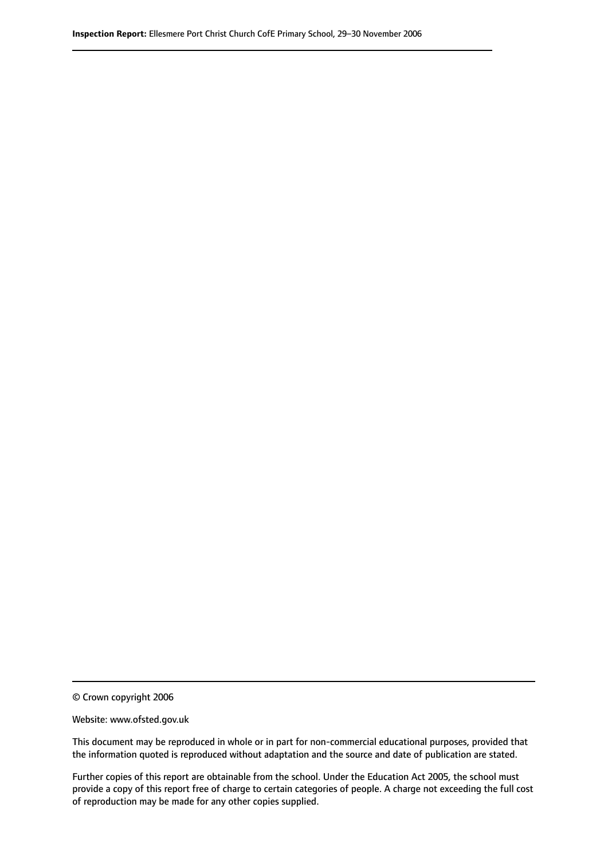© Crown copyright 2006

Website: www.ofsted.gov.uk

This document may be reproduced in whole or in part for non-commercial educational purposes, provided that the information quoted is reproduced without adaptation and the source and date of publication are stated.

Further copies of this report are obtainable from the school. Under the Education Act 2005, the school must provide a copy of this report free of charge to certain categories of people. A charge not exceeding the full cost of reproduction may be made for any other copies supplied.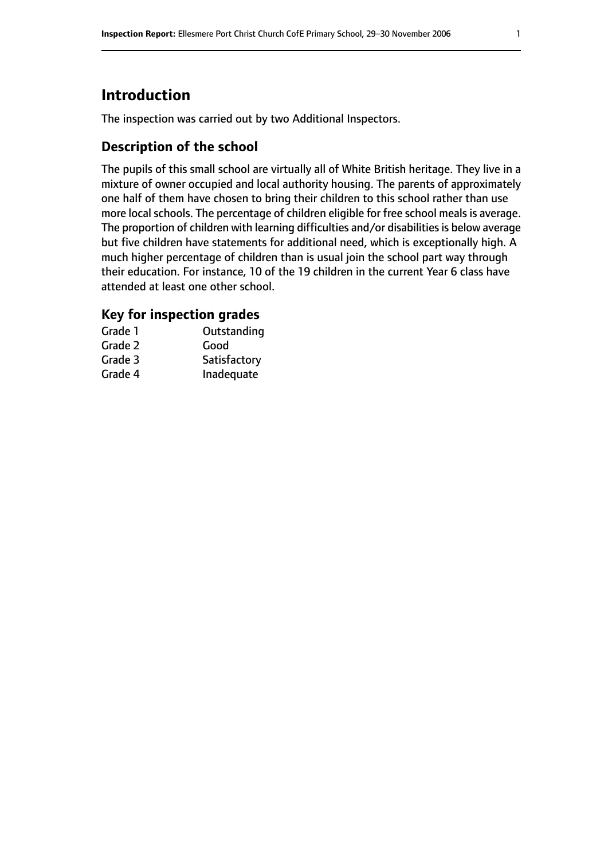# **Introduction**

The inspection was carried out by two Additional Inspectors.

### **Description of the school**

The pupils of this small school are virtually all of White British heritage. They live in a mixture of owner occupied and local authority housing. The parents of approximately one half of them have chosen to bring their children to this school rather than use more local schools. The percentage of children eligible for free school meals is average. The proportion of children with learning difficulties and/or disabilities is below average but five children have statements for additional need, which is exceptionally high. A much higher percentage of children than is usual join the school part way through their education. For instance, 10 of the 19 children in the current Year 6 class have attended at least one other school.

#### **Key for inspection grades**

| Grade 1 | Outstanding  |
|---------|--------------|
| Grade 2 | Good         |
| Grade 3 | Satisfactory |
| Grade 4 | Inadequate   |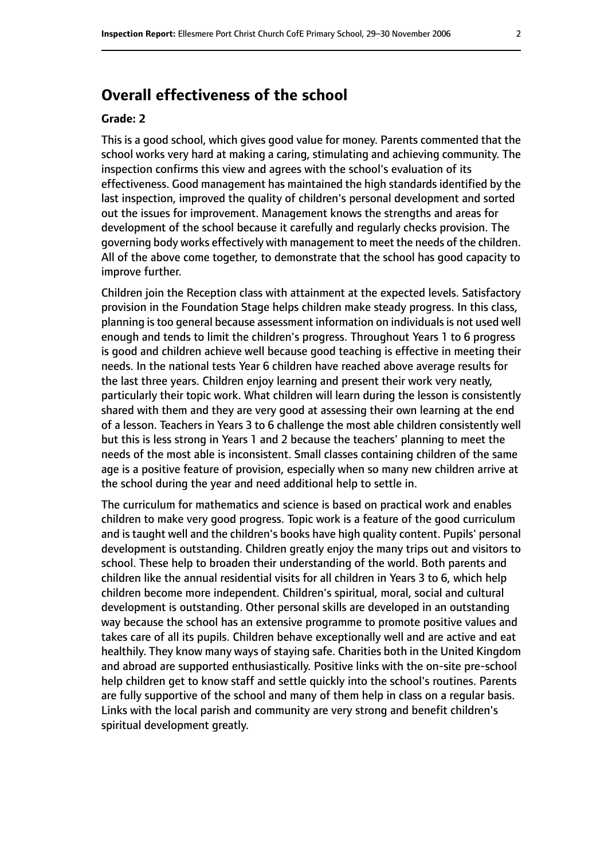# **Overall effectiveness of the school**

#### **Grade: 2**

This is a good school, which gives good value for money. Parents commented that the school works very hard at making a caring, stimulating and achieving community. The inspection confirms this view and agrees with the school's evaluation of its effectiveness. Good management has maintained the high standards identified by the last inspection, improved the quality of children's personal development and sorted out the issues for improvement. Management knows the strengths and areas for development of the school because it carefully and regularly checks provision. The governing body works effectively with management to meet the needs of the children. All of the above come together, to demonstrate that the school has good capacity to improve further.

Children join the Reception class with attainment at the expected levels. Satisfactory provision in the Foundation Stage helps children make steady progress. In this class, planning is too general because assessment information on individuals is not used well enough and tends to limit the children's progress. Throughout Years 1 to 6 progress is good and children achieve well because good teaching is effective in meeting their needs. In the national tests Year 6 children have reached above average results for the last three years. Children enjoy learning and present their work very neatly, particularly their topic work. What children will learn during the lesson is consistently shared with them and they are very good at assessing their own learning at the end of a lesson. Teachers in Years 3 to 6 challenge the most able children consistently well but this is less strong in Years 1 and 2 because the teachers' planning to meet the needs of the most able is inconsistent. Small classes containing children of the same age is a positive feature of provision, especially when so many new children arrive at the school during the year and need additional help to settle in.

The curriculum for mathematics and science is based on practical work and enables children to make very good progress. Topic work is a feature of the good curriculum and is taught well and the children's books have high quality content. Pupils' personal development is outstanding. Children greatly enjoy the many trips out and visitors to school. These help to broaden their understanding of the world. Both parents and children like the annual residential visits for all children in Years 3 to 6, which help children become more independent. Children's spiritual, moral, social and cultural development is outstanding. Other personal skills are developed in an outstanding way because the school has an extensive programme to promote positive values and takes care of all its pupils. Children behave exceptionally well and are active and eat healthily. They know many ways of staying safe. Charities both in the United Kingdom and abroad are supported enthusiastically. Positive links with the on-site pre-school help children get to know staff and settle quickly into the school's routines. Parents are fully supportive of the school and many of them help in class on a regular basis. Links with the local parish and community are very strong and benefit children's spiritual development greatly.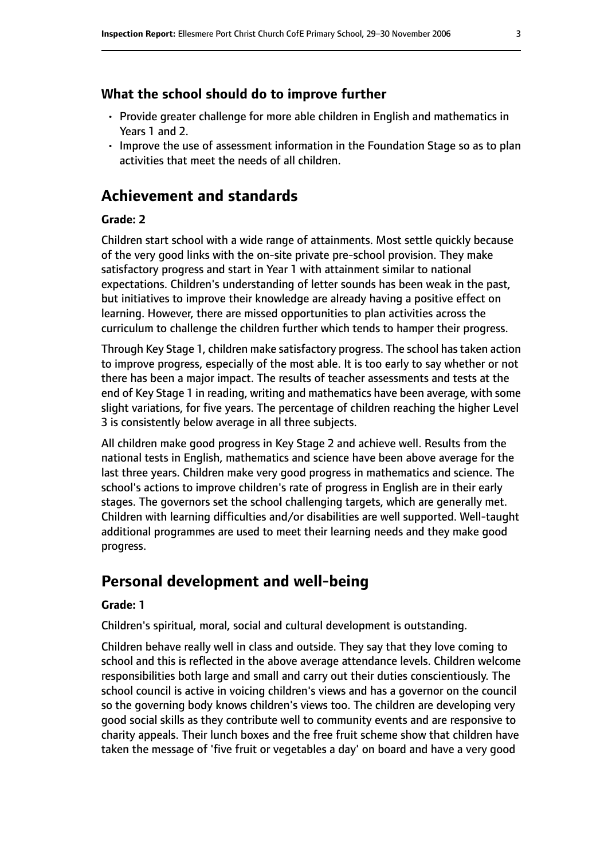#### **What the school should do to improve further**

- Provide greater challenge for more able children in English and mathematics in Years 1 and 2.
- Improve the use of assessment information in the Foundation Stage so as to plan activities that meet the needs of all children.

# **Achievement and standards**

#### **Grade: 2**

Children start school with a wide range of attainments. Most settle quickly because of the very good links with the on-site private pre-school provision. They make satisfactory progress and start in Year 1 with attainment similar to national expectations. Children's understanding of letter sounds has been weak in the past, but initiatives to improve their knowledge are already having a positive effect on learning. However, there are missed opportunities to plan activities across the curriculum to challenge the children further which tends to hamper their progress.

Through Key Stage 1, children make satisfactory progress. The school hastaken action to improve progress, especially of the most able. It is too early to say whether or not there has been a major impact. The results of teacher assessments and tests at the end of Key Stage 1 in reading, writing and mathematics have been average, with some slight variations, for five years. The percentage of children reaching the higher Level 3 is consistently below average in all three subjects.

All children make good progress in Key Stage 2 and achieve well. Results from the national tests in English, mathematics and science have been above average for the last three years. Children make very good progress in mathematics and science. The school's actions to improve children's rate of progress in English are in their early stages. The governors set the school challenging targets, which are generally met. Children with learning difficulties and/or disabilities are well supported. Well-taught additional programmes are used to meet their learning needs and they make good progress.

# **Personal development and well-being**

#### **Grade: 1**

Children's spiritual, moral, social and cultural development is outstanding.

Children behave really well in class and outside. They say that they love coming to school and this is reflected in the above average attendance levels. Children welcome responsibilities both large and small and carry out their duties conscientiously. The school council is active in voicing children's views and has a governor on the council so the governing body knows children's views too. The children are developing very good social skills as they contribute well to community events and are responsive to charity appeals. Their lunch boxes and the free fruit scheme show that children have taken the message of 'five fruit or vegetables a day' on board and have a very good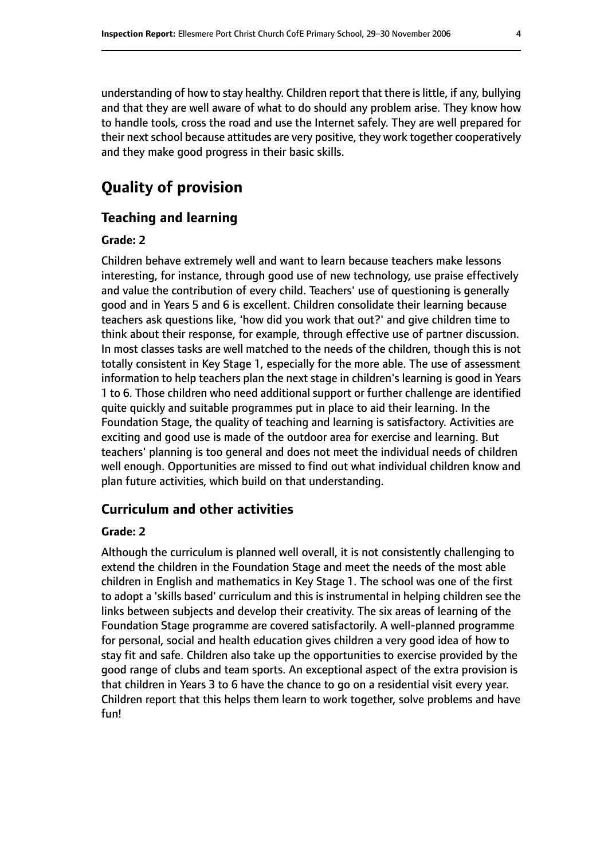understanding of how to stay healthy. Children report that there islittle, if any, bullying and that they are well aware of what to do should any problem arise. They know how to handle tools, cross the road and use the Internet safely. They are well prepared for their next school because attitudes are very positive, they work together cooperatively and they make good progress in their basic skills.

# **Quality of provision**

#### **Teaching and learning**

#### **Grade: 2**

Children behave extremely well and want to learn because teachers make lessons interesting, for instance, through good use of new technology, use praise effectively and value the contribution of every child. Teachers' use of questioning is generally good and in Years 5 and 6 is excellent. Children consolidate their learning because teachers ask questions like, 'how did you work that out?' and give children time to think about their response, for example, through effective use of partner discussion. In most classes tasks are well matched to the needs of the children, though this is not totally consistent in Key Stage 1, especially for the more able. The use of assessment information to help teachers plan the next stage in children's learning is good in Years 1 to 6. Those children who need additional support or further challenge are identified quite quickly and suitable programmes put in place to aid their learning. In the Foundation Stage, the quality of teaching and learning is satisfactory. Activities are exciting and good use is made of the outdoor area for exercise and learning. But teachers' planning is too general and does not meet the individual needs of children well enough. Opportunities are missed to find out what individual children know and plan future activities, which build on that understanding.

#### **Curriculum and other activities**

#### **Grade: 2**

Although the curriculum is planned well overall, it is not consistently challenging to extend the children in the Foundation Stage and meet the needs of the most able children in English and mathematics in Key Stage 1. The school was one of the first to adopt a 'skills based' curriculum and this is instrumental in helping children see the links between subjects and develop their creativity. The six areas of learning of the Foundation Stage programme are covered satisfactorily. A well-planned programme for personal, social and health education gives children a very good idea of how to stay fit and safe. Children also take up the opportunities to exercise provided by the good range of clubs and team sports. An exceptional aspect of the extra provision is that children in Years 3 to 6 have the chance to go on a residential visit every year. Children report that this helps them learn to work together, solve problems and have fun!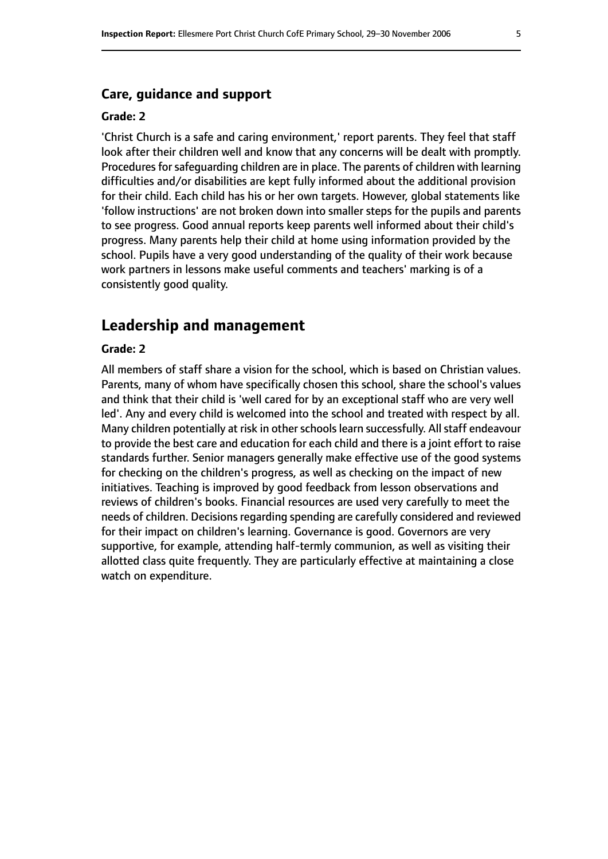#### **Care, guidance and support**

#### **Grade: 2**

'Christ Church is a safe and caring environment,' report parents. They feel that staff look after their children well and know that any concerns will be dealt with promptly. Procedures for safeguarding children are in place. The parents of children with learning difficulties and/or disabilities are kept fully informed about the additional provision for their child. Each child has his or her own targets. However, global statements like 'follow instructions' are not broken down into smaller steps for the pupils and parents to see progress. Good annual reports keep parents well informed about their child's progress. Many parents help their child at home using information provided by the school. Pupils have a very good understanding of the quality of their work because work partners in lessons make useful comments and teachers' marking is of a consistently good quality.

#### **Leadership and management**

#### **Grade: 2**

All members of staff share a vision for the school, which is based on Christian values. Parents, many of whom have specifically chosen this school, share the school's values and think that their child is 'well cared for by an exceptional staff who are very well led'. Any and every child is welcomed into the school and treated with respect by all. Many children potentially at risk in other schools learn successfully. All staff endeavour to provide the best care and education for each child and there is a joint effort to raise standards further. Senior managers generally make effective use of the good systems for checking on the children's progress, as well as checking on the impact of new initiatives. Teaching is improved by good feedback from lesson observations and reviews of children's books. Financial resources are used very carefully to meet the needs of children. Decisions regarding spending are carefully considered and reviewed for their impact on children's learning. Governance is good. Governors are very supportive, for example, attending half-termly communion, as well as visiting their allotted class quite frequently. They are particularly effective at maintaining a close watch on expenditure.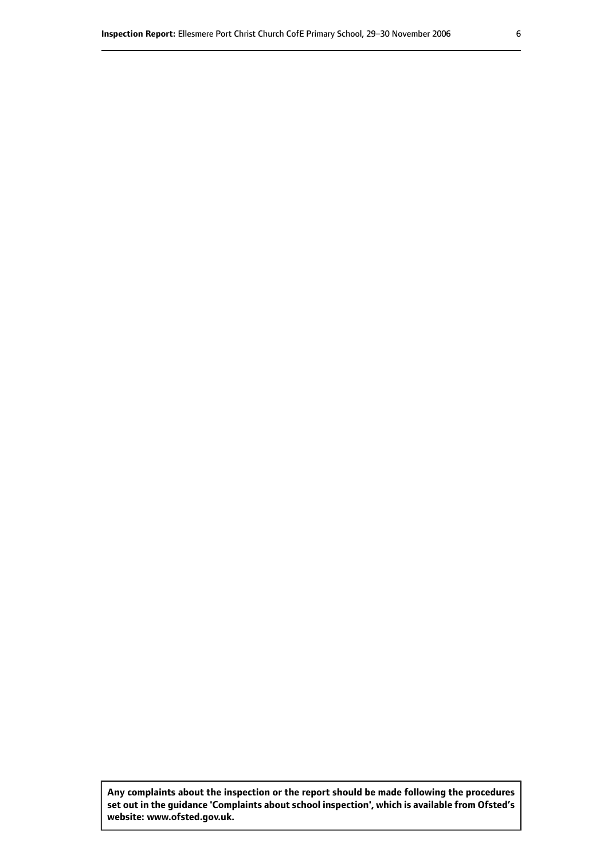**Any complaints about the inspection or the report should be made following the procedures set out inthe guidance 'Complaints about school inspection', whichis available from Ofsted's website: www.ofsted.gov.uk.**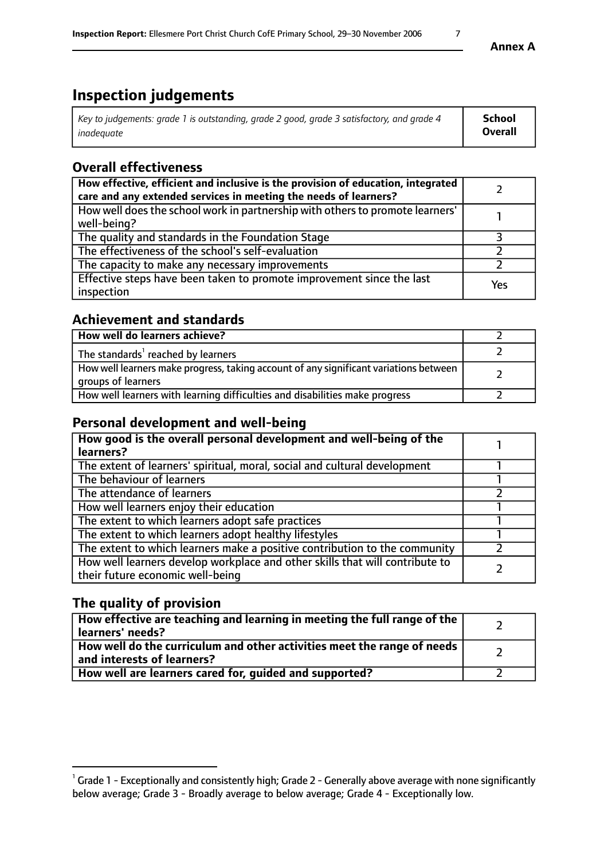# **Inspection judgements**

| Key to judgements: grade 1 is outstanding, grade 2 good, grade 3 satisfactory, and grade 4 | School         |
|--------------------------------------------------------------------------------------------|----------------|
| inadeauate                                                                                 | <b>Overall</b> |

# **Overall effectiveness**

| How effective, efficient and inclusive is the provision of education, integrated<br>care and any extended services in meeting the needs of learners? |     |
|------------------------------------------------------------------------------------------------------------------------------------------------------|-----|
| How well does the school work in partnership with others to promote learners'<br>well-being?                                                         |     |
| The quality and standards in the Foundation Stage                                                                                                    |     |
| The effectiveness of the school's self-evaluation                                                                                                    |     |
| The capacity to make any necessary improvements                                                                                                      |     |
| Effective steps have been taken to promote improvement since the last<br>inspection                                                                  | Yes |

# **Achievement and standards**

| How well do learners achieve?                                                                               |  |
|-------------------------------------------------------------------------------------------------------------|--|
| The standards <sup>1</sup> reached by learners                                                              |  |
| How well learners make progress, taking account of any significant variations between<br>groups of learners |  |
| How well learners with learning difficulties and disabilities make progress                                 |  |

## **Personal development and well-being**

| How good is the overall personal development and well-being of the<br>learners?                                  |  |
|------------------------------------------------------------------------------------------------------------------|--|
| The extent of learners' spiritual, moral, social and cultural development                                        |  |
| The behaviour of learners                                                                                        |  |
| The attendance of learners                                                                                       |  |
| How well learners enjoy their education                                                                          |  |
| The extent to which learners adopt safe practices                                                                |  |
| The extent to which learners adopt healthy lifestyles                                                            |  |
| The extent to which learners make a positive contribution to the community                                       |  |
| How well learners develop workplace and other skills that will contribute to<br>their future economic well-being |  |

# **The quality of provision**

| How effective are teaching and learning in meeting the full range of the<br>learners' needs?          |  |
|-------------------------------------------------------------------------------------------------------|--|
| How well do the curriculum and other activities meet the range of needs<br>and interests of learners? |  |
| How well are learners cared for, guided and supported?                                                |  |

 $^1$  Grade 1 - Exceptionally and consistently high; Grade 2 - Generally above average with none significantly below average; Grade 3 - Broadly average to below average; Grade 4 - Exceptionally low.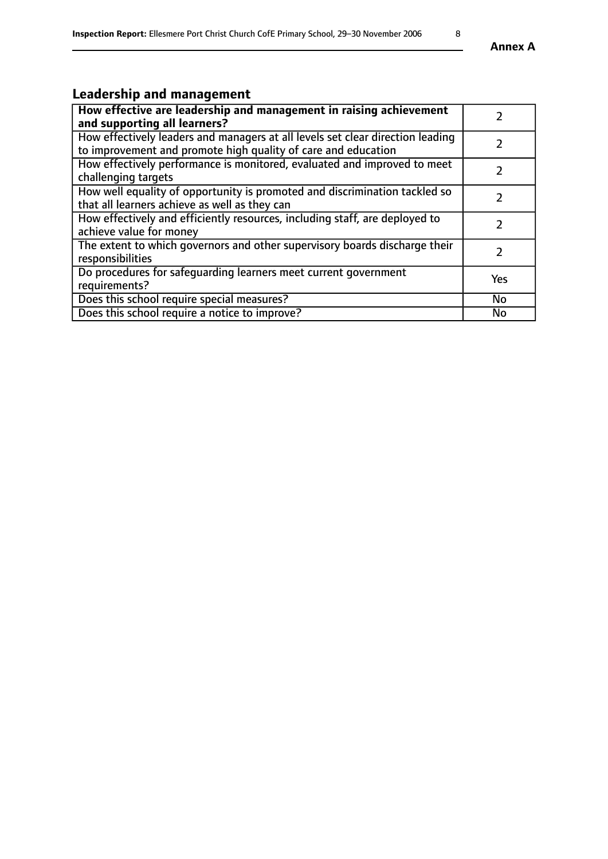# **Leadership and management**

| How effective are leadership and management in raising achievement<br>and supporting all learners?                                              |            |
|-------------------------------------------------------------------------------------------------------------------------------------------------|------------|
| How effectively leaders and managers at all levels set clear direction leading<br>to improvement and promote high quality of care and education |            |
| How effectively performance is monitored, evaluated and improved to meet<br>challenging targets                                                 |            |
| How well equality of opportunity is promoted and discrimination tackled so<br>that all learners achieve as well as they can                     |            |
| How effectively and efficiently resources, including staff, are deployed to<br>achieve value for money                                          | 7          |
| The extent to which governors and other supervisory boards discharge their<br>responsibilities                                                  |            |
| Do procedures for safeguarding learners meet current government<br>requirements?                                                                | <b>Yes</b> |
| Does this school require special measures?                                                                                                      | <b>No</b>  |
| Does this school require a notice to improve?                                                                                                   | No         |